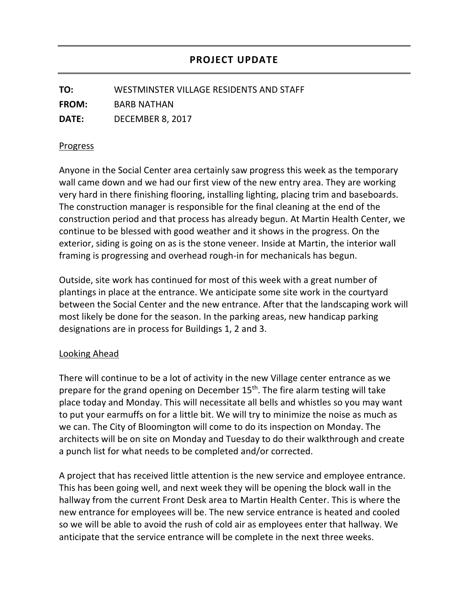**TO:** WESTMINSTER VILLAGE RESIDENTS AND STAFF **FROM:** BARB NATHAN **DATE:** DECEMBER 8, 2017

## Progress

Anyone in the Social Center area certainly saw progress this week as the temporary wall came down and we had our first view of the new entry area. They are working very hard in there finishing flooring, installing lighting, placing trim and baseboards. The construction manager is responsible for the final cleaning at the end of the construction period and that process has already begun. At Martin Health Center, we continue to be blessed with good weather and it shows in the progress. On the exterior, siding is going on as is the stone veneer. Inside at Martin, the interior wall framing is progressing and overhead rough-in for mechanicals has begun.

Outside, site work has continued for most of this week with a great number of plantings in place at the entrance. We anticipate some site work in the courtyard between the Social Center and the new entrance. After that the landscaping work will most likely be done for the season. In the parking areas, new handicap parking designations are in process for Buildings 1, 2 and 3.

## Looking Ahead

There will continue to be a lot of activity in the new Village center entrance as we prepare for the grand opening on December  $15<sup>th</sup>$ . The fire alarm testing will take place today and Monday. This will necessitate all bells and whistles so you may want to put your earmuffs on for a little bit. We will try to minimize the noise as much as we can. The City of Bloomington will come to do its inspection on Monday. The architects will be on site on Monday and Tuesday to do their walkthrough and create a punch list for what needs to be completed and/or corrected.

A project that has received little attention is the new service and employee entrance. This has been going well, and next week they will be opening the block wall in the hallway from the current Front Desk area to Martin Health Center. This is where the new entrance for employees will be. The new service entrance is heated and cooled so we will be able to avoid the rush of cold air as employees enter that hallway. We anticipate that the service entrance will be complete in the next three weeks.